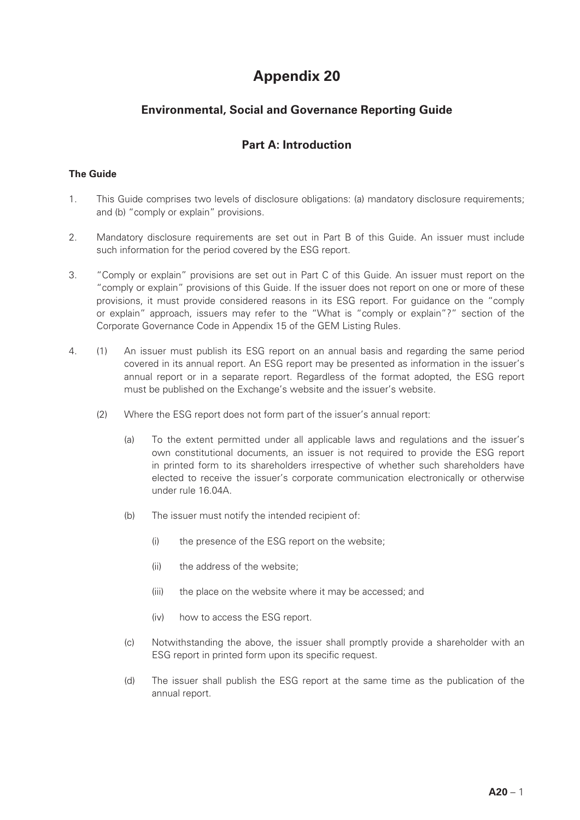# **Appendix 20**

## **Environmental, Social and Governance Reporting Guide**

### **Part A: Introduction**

#### **The Guide**

- 1. This Guide comprises two levels of disclosure obligations: (a) mandatory disclosure requirements; and (b) "comply or explain" provisions.
- 2. Mandatory disclosure requirements are set out in Part B of this Guide. An issuer must include such information for the period covered by the ESG report.
- 3. "Comply or explain" provisions are set out in Part C of this Guide. An issuer must report on the "comply or explain" provisions of this Guide. If the issuer does not report on one or more of these provisions, it must provide considered reasons in its ESG report. For guidance on the "comply or explain" approach, issuers may refer to the "What is "comply or explain"?" section of the Corporate Governance Code in Appendix 15 of the GEM Listing Rules.
- 4. (1) An issuer must publish its ESG report on an annual basis and regarding the same period covered in its annual report. An ESG report may be presented as information in the issuer's annual report or in a separate report. Regardless of the format adopted, the ESG report must be published on the Exchange's website and the issuer's website.
	- (2) Where the ESG report does not form part of the issuer's annual report:
		- (a) To the extent permitted under all applicable laws and regulations and the issuer's own constitutional documents, an issuer is not required to provide the ESG report in printed form to its shareholders irrespective of whether such shareholders have elected to receive the issuer's corporate communication electronically or otherwise under rule 16.04A.
		- (b) The issuer must notify the intended recipient of:
			- (i) the presence of the ESG report on the website;
			- (ii) the address of the website;
			- (iii) the place on the website where it may be accessed; and
			- (iv) how to access the ESG report.
		- (c) Notwithstanding the above, the issuer shall promptly provide a shareholder with an ESG report in printed form upon its specific request.
		- (d) The issuer shall publish the ESG report at the same time as the publication of the annual report.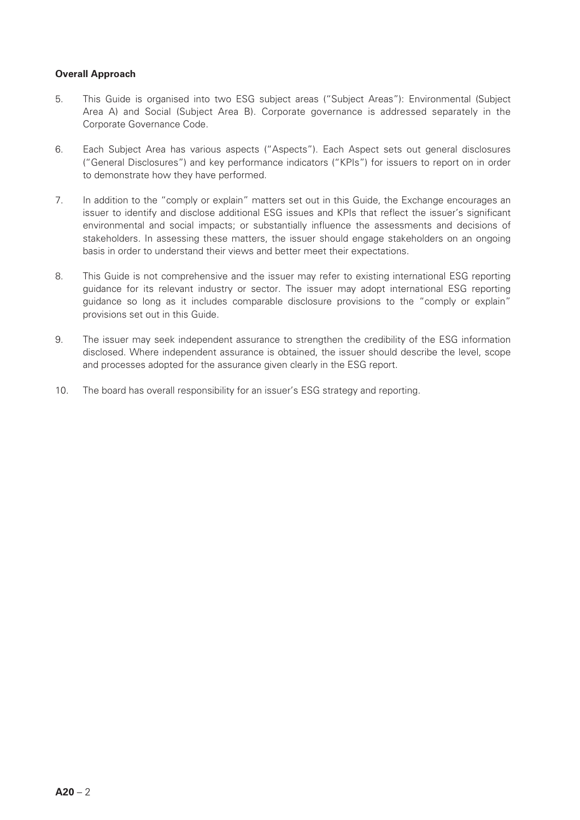#### **Overall Approach**

- 5. This Guide is organised into two ESG subject areas ("Subject Areas"): Environmental (Subject Area A) and Social (Subject Area B). Corporate governance is addressed separately in the Corporate Governance Code.
- 6. Each Subject Area has various aspects ("Aspects"). Each Aspect sets out general disclosures ("General Disclosures") and key performance indicators ("KPIs") for issuers to report on in order to demonstrate how they have performed.
- 7. In addition to the "comply or explain" matters set out in this Guide, the Exchange encourages an issuer to identify and disclose additional ESG issues and KPIs that reflect the issuer's significant environmental and social impacts; or substantially influence the assessments and decisions of stakeholders. In assessing these matters, the issuer should engage stakeholders on an ongoing basis in order to understand their views and better meet their expectations.
- 8. This Guide is not comprehensive and the issuer may refer to existing international ESG reporting guidance for its relevant industry or sector. The issuer may adopt international ESG reporting guidance so long as it includes comparable disclosure provisions to the "comply or explain" provisions set out in this Guide.
- 9. The issuer may seek independent assurance to strengthen the credibility of the ESG information disclosed. Where independent assurance is obtained, the issuer should describe the level, scope and processes adopted for the assurance given clearly in the ESG report.
- 10. The board has overall responsibility for an issuer's ESG strategy and reporting.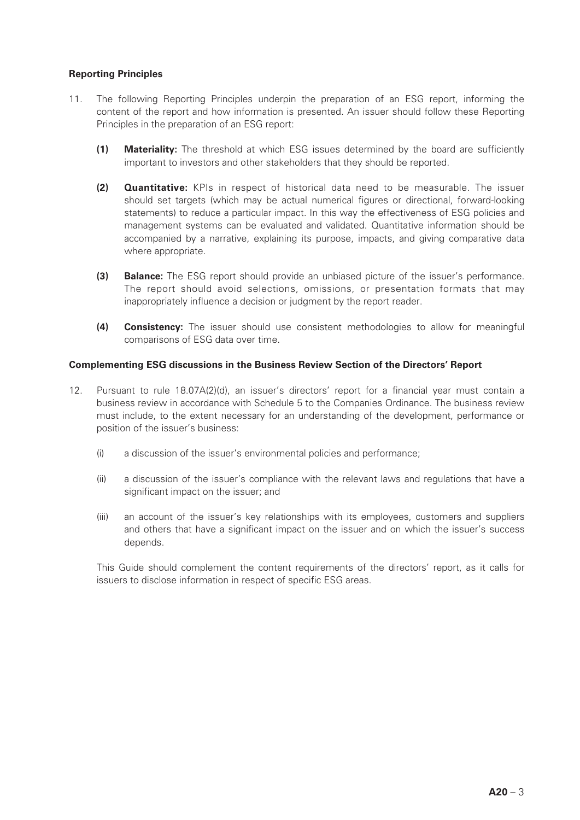#### **Reporting Principles**

- 11. The following Reporting Principles underpin the preparation of an ESG report, informing the content of the report and how information is presented. An issuer should follow these Reporting Principles in the preparation of an ESG report:
	- **(1) Materiality:** The threshold at which ESG issues determined by the board are sufficiently important to investors and other stakeholders that they should be reported.
	- **(2) Quantitative:** KPIs in respect of historical data need to be measurable. The issuer should set targets (which may be actual numerical figures or directional, forward-looking statements) to reduce a particular impact. In this way the effectiveness of ESG policies and management systems can be evaluated and validated. Quantitative information should be accompanied by a narrative, explaining its purpose, impacts, and giving comparative data where appropriate.
	- **(3) Balance:** The ESG report should provide an unbiased picture of the issuer's performance. The report should avoid selections, omissions, or presentation formats that may inappropriately influence a decision or judgment by the report reader.
	- **(4) Consistency:** The issuer should use consistent methodologies to allow for meaningful comparisons of ESG data over time.

#### **Complementing ESG discussions in the Business Review Section of the Directors' Report**

- 12. Pursuant to rule 18.07A(2)(d), an issuer's directors' report for a financial year must contain a business review in accordance with Schedule 5 to the Companies Ordinance. The business review must include, to the extent necessary for an understanding of the development, performance or position of the issuer's business:
	- (i) a discussion of the issuer's environmental policies and performance;
	- (ii) a discussion of the issuer's compliance with the relevant laws and regulations that have a significant impact on the issuer; and
	- (iii) an account of the issuer's key relationships with its employees, customers and suppliers and others that have a significant impact on the issuer and on which the issuer's success depends.

This Guide should complement the content requirements of the directors' report, as it calls for issuers to disclose information in respect of specific ESG areas.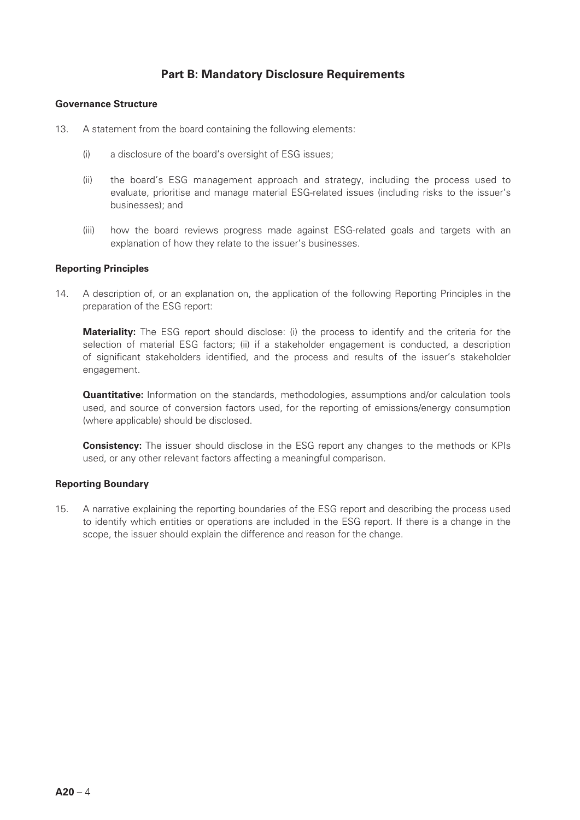### **Part B: Mandatory Disclosure Requirements**

#### **Governance Structure**

- 13. A statement from the board containing the following elements:
	- (i) a disclosure of the board's oversight of ESG issues;
	- (ii) the board's ESG management approach and strategy, including the process used to evaluate, prioritise and manage material ESG-related issues (including risks to the issuer's businesses); and
	- (iii) how the board reviews progress made against ESG-related goals and targets with an explanation of how they relate to the issuer's businesses.

#### **Reporting Principles**

14. A description of, or an explanation on, the application of the following Reporting Principles in the preparation of the ESG report:

**Materiality:** The ESG report should disclose: (i) the process to identify and the criteria for the selection of material ESG factors; (ii) if a stakeholder engagement is conducted, a description of significant stakeholders identified, and the process and results of the issuer's stakeholder engagement.

**Quantitative:** Information on the standards, methodologies, assumptions and/or calculation tools used, and source of conversion factors used, for the reporting of emissions/energy consumption (where applicable) should be disclosed.

**Consistency:** The issuer should disclose in the ESG report any changes to the methods or KPIs used, or any other relevant factors affecting a meaningful comparison.

#### **Reporting Boundary**

15. A narrative explaining the reporting boundaries of the ESG report and describing the process used to identify which entities or operations are included in the ESG report. If there is a change in the scope, the issuer should explain the difference and reason for the change.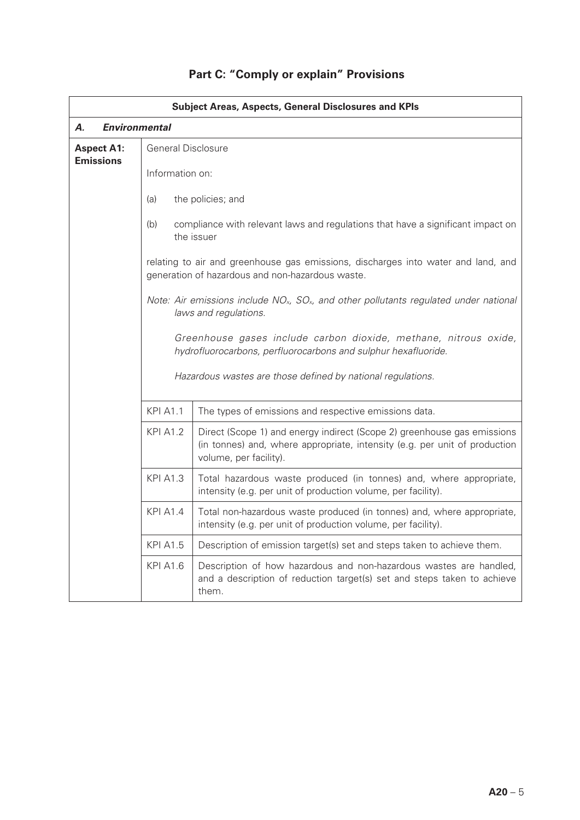|                                       |                                                             | <b>Subject Areas, Aspects, General Disclosures and KPIs</b>                                                                                                                     |  |  |
|---------------------------------------|-------------------------------------------------------------|---------------------------------------------------------------------------------------------------------------------------------------------------------------------------------|--|--|
| А.                                    | <b>Environmental</b>                                        |                                                                                                                                                                                 |  |  |
| <b>Aspect A1:</b><br><b>Emissions</b> |                                                             | <b>General Disclosure</b>                                                                                                                                                       |  |  |
|                                       | Information on:                                             |                                                                                                                                                                                 |  |  |
|                                       | (a)                                                         | the policies; and                                                                                                                                                               |  |  |
|                                       | (b)                                                         | compliance with relevant laws and regulations that have a significant impact on<br>the issuer                                                                                   |  |  |
|                                       |                                                             | relating to air and greenhouse gas emissions, discharges into water and land, and<br>generation of hazardous and non-hazardous waste.                                           |  |  |
|                                       |                                                             | Note: Air emissions include $NOx$ , $SOx$ , and other pollutants regulated under national<br>laws and regulations.                                                              |  |  |
|                                       |                                                             | Greenhouse gases include carbon dioxide, methane, nitrous oxide,<br>hydrofluorocarbons, perfluorocarbons and sulphur hexafluoride.                                              |  |  |
|                                       | Hazardous wastes are those defined by national regulations. |                                                                                                                                                                                 |  |  |
|                                       | <b>KPI A1.1</b>                                             | The types of emissions and respective emissions data.                                                                                                                           |  |  |
|                                       | <b>KPI A1.2</b>                                             | Direct (Scope 1) and energy indirect (Scope 2) greenhouse gas emissions<br>(in tonnes) and, where appropriate, intensity (e.g. per unit of production<br>volume, per facility). |  |  |
|                                       | <b>KPI A1.3</b>                                             | Total hazardous waste produced (in tonnes) and, where appropriate,<br>intensity (e.g. per unit of production volume, per facility).                                             |  |  |
|                                       | <b>KPI A1.4</b>                                             | Total non-hazardous waste produced (in tonnes) and, where appropriate,<br>intensity (e.g. per unit of production volume, per facility).                                         |  |  |
|                                       | <b>KPI A1.5</b>                                             | Description of emission target(s) set and steps taken to achieve them.                                                                                                          |  |  |
|                                       | <b>KPI A1.6</b>                                             | Description of how hazardous and non-hazardous wastes are handled,<br>and a description of reduction target(s) set and steps taken to achieve<br>them.                          |  |  |

# **Part C: "Comply or explain" Provisions**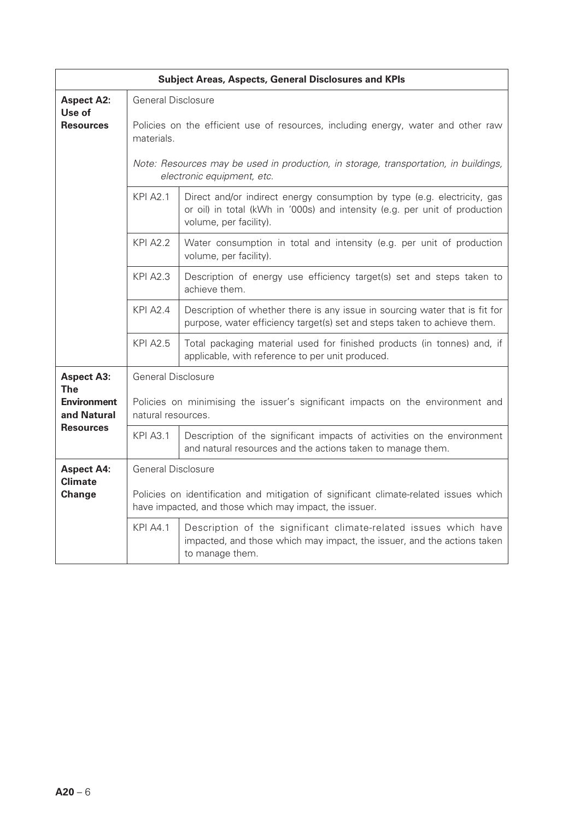|                                                                     |                                                                                                                                                 | <b>Subject Areas, Aspects, General Disclosures and KPIs</b>                                                                                                                      |  |
|---------------------------------------------------------------------|-------------------------------------------------------------------------------------------------------------------------------------------------|----------------------------------------------------------------------------------------------------------------------------------------------------------------------------------|--|
| <b>Aspect A2:</b><br>Use of                                         | <b>General Disclosure</b>                                                                                                                       |                                                                                                                                                                                  |  |
| <b>Resources</b>                                                    | Policies on the efficient use of resources, including energy, water and other raw<br>materials.                                                 |                                                                                                                                                                                  |  |
|                                                                     | Note: Resources may be used in production, in storage, transportation, in buildings,<br>electronic equipment, etc.                              |                                                                                                                                                                                  |  |
|                                                                     | <b>KPI A2.1</b>                                                                                                                                 | Direct and/or indirect energy consumption by type (e.g. electricity, gas<br>or oil) in total (kWh in '000s) and intensity (e.g. per unit of production<br>volume, per facility). |  |
|                                                                     | <b>KPI A2.2</b>                                                                                                                                 | Water consumption in total and intensity (e.g. per unit of production<br>volume, per facility).                                                                                  |  |
|                                                                     | <b>KPI A2.3</b>                                                                                                                                 | Description of energy use efficiency target(s) set and steps taken to<br>achieve them.                                                                                           |  |
|                                                                     | <b>KPI A2.4</b>                                                                                                                                 | Description of whether there is any issue in sourcing water that is fit for<br>purpose, water efficiency target(s) set and steps taken to achieve them.                          |  |
|                                                                     | <b>KPI A2.5</b>                                                                                                                                 | Total packaging material used for finished products (in tonnes) and, if<br>applicable, with reference to per unit produced.                                                      |  |
| <b>Aspect A3:</b>                                                   | <b>General Disclosure</b>                                                                                                                       |                                                                                                                                                                                  |  |
| <b>The</b><br><b>Environment</b><br>and Natural<br><b>Resources</b> | Policies on minimising the issuer's significant impacts on the environment and<br>natural resources.                                            |                                                                                                                                                                                  |  |
|                                                                     | <b>KPI A3.1</b>                                                                                                                                 | Description of the significant impacts of activities on the environment<br>and natural resources and the actions taken to manage them.                                           |  |
| <b>Aspect A4:</b>                                                   | <b>General Disclosure</b>                                                                                                                       |                                                                                                                                                                                  |  |
| <b>Climate</b><br>Change                                            | Policies on identification and mitigation of significant climate-related issues which<br>have impacted, and those which may impact, the issuer. |                                                                                                                                                                                  |  |
|                                                                     | <b>KPI A4.1</b>                                                                                                                                 | Description of the significant climate-related issues which have<br>impacted, and those which may impact, the issuer, and the actions taken<br>to manage them.                   |  |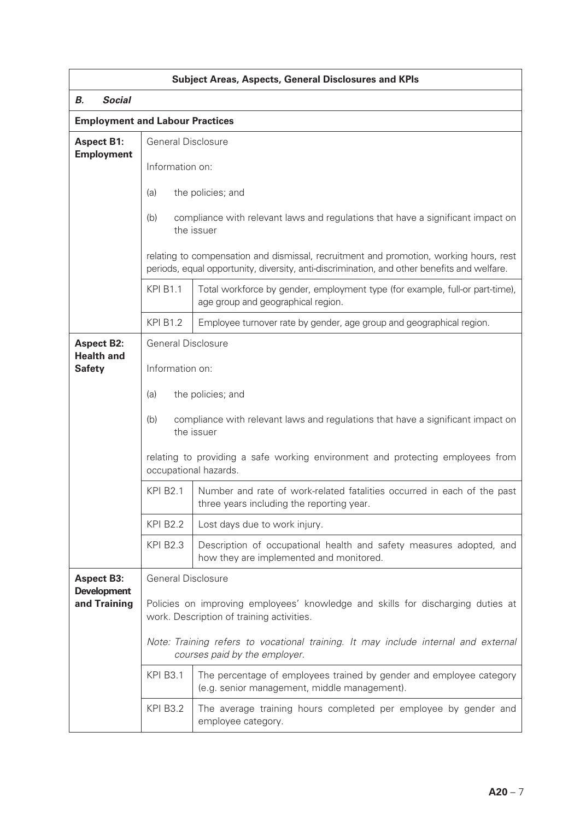|                                        |                                                                                                                                                                                       | <b>Subject Areas, Aspects, General Disclosures and KPIs</b>                                                          |
|----------------------------------------|---------------------------------------------------------------------------------------------------------------------------------------------------------------------------------------|----------------------------------------------------------------------------------------------------------------------|
| <b>Social</b><br>В.                    |                                                                                                                                                                                       |                                                                                                                      |
| <b>Employment and Labour Practices</b> |                                                                                                                                                                                       |                                                                                                                      |
| <b>Aspect B1:</b><br><b>Employment</b> | <b>General Disclosure</b>                                                                                                                                                             |                                                                                                                      |
|                                        | Information on:                                                                                                                                                                       |                                                                                                                      |
|                                        | the policies; and<br>(a)                                                                                                                                                              |                                                                                                                      |
|                                        | compliance with relevant laws and regulations that have a significant impact on<br>(b)<br>the issuer                                                                                  |                                                                                                                      |
|                                        | relating to compensation and dismissal, recruitment and promotion, working hours, rest<br>periods, equal opportunity, diversity, anti-discrimination, and other benefits and welfare. |                                                                                                                      |
|                                        | <b>KPI B1.1</b>                                                                                                                                                                       | Total workforce by gender, employment type (for example, full-or part-time),<br>age group and geographical region.   |
|                                        | <b>KPI B1.2</b>                                                                                                                                                                       | Employee turnover rate by gender, age group and geographical region.                                                 |
| <b>Aspect B2:</b><br><b>Health and</b> | <b>General Disclosure</b>                                                                                                                                                             |                                                                                                                      |
| <b>Safety</b>                          | Information on:                                                                                                                                                                       |                                                                                                                      |
|                                        | the policies; and<br>(a)                                                                                                                                                              |                                                                                                                      |
|                                        | compliance with relevant laws and regulations that have a significant impact on<br>(b)<br>the issuer                                                                                  |                                                                                                                      |
|                                        | relating to providing a safe working environment and protecting employees from<br>occupational hazards.                                                                               |                                                                                                                      |
|                                        | <b>KPI B2.1</b>                                                                                                                                                                       | Number and rate of work-related fatalities occurred in each of the past<br>three years including the reporting year. |
|                                        | <b>KPI B2.2</b>                                                                                                                                                                       | Lost days due to work injury.                                                                                        |
|                                        | <b>KPI B2.3</b>                                                                                                                                                                       | Description of occupational health and safety measures adopted, and<br>how they are implemented and monitored.       |
| <b>Aspect B3:</b>                      | <b>General Disclosure</b>                                                                                                                                                             |                                                                                                                      |
| <b>Development</b><br>and Training     | Policies on improving employees' knowledge and skills for discharging duties at<br>work. Description of training activities.                                                          |                                                                                                                      |
|                                        | Note: Training refers to vocational training. It may include internal and external<br>courses paid by the employer.                                                                   |                                                                                                                      |
|                                        | <b>KPI B3.1</b>                                                                                                                                                                       | The percentage of employees trained by gender and employee category<br>(e.g. senior management, middle management).  |
|                                        | <b>KPI B3.2</b>                                                                                                                                                                       | The average training hours completed per employee by gender and<br>employee category.                                |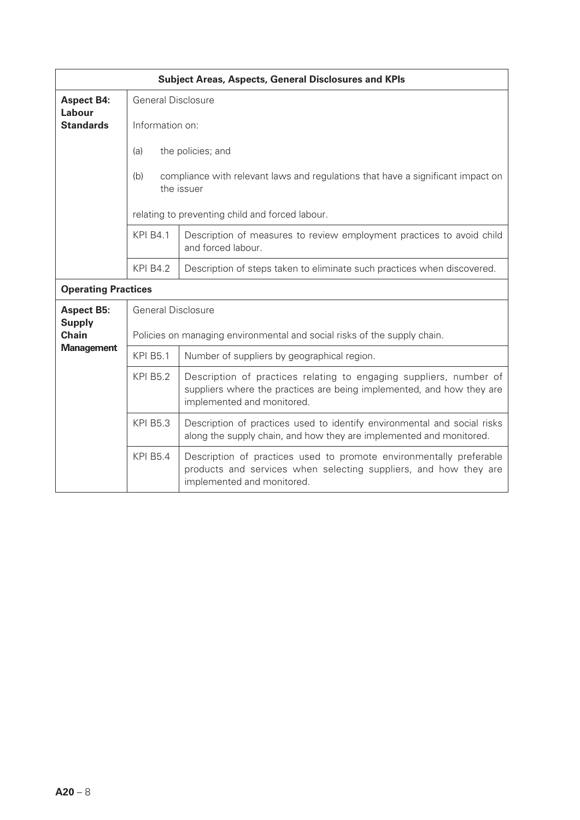|                               |                                                                          | <b>Subject Areas, Aspects, General Disclosures and KPIs</b>                                                                                                               |
|-------------------------------|--------------------------------------------------------------------------|---------------------------------------------------------------------------------------------------------------------------------------------------------------------------|
| <b>Aspect B4:</b>             | <b>General Disclosure</b>                                                |                                                                                                                                                                           |
| Labour<br><b>Standards</b>    | Information on:                                                          |                                                                                                                                                                           |
|                               | (a)                                                                      | the policies; and                                                                                                                                                         |
|                               | (b)                                                                      | compliance with relevant laws and regulations that have a significant impact on<br>the issuer                                                                             |
|                               | relating to preventing child and forced labour.                          |                                                                                                                                                                           |
|                               | <b>KPI B4.1</b>                                                          | Description of measures to review employment practices to avoid child<br>and forced labour.                                                                               |
|                               | <b>KPI B4.2</b>                                                          | Description of steps taken to eliminate such practices when discovered.                                                                                                   |
| <b>Operating Practices</b>    |                                                                          |                                                                                                                                                                           |
| <b>Aspect B5:</b>             | <b>General Disclosure</b>                                                |                                                                                                                                                                           |
| <b>Supply</b><br><b>Chain</b> | Policies on managing environmental and social risks of the supply chain. |                                                                                                                                                                           |
| <b>Management</b>             | <b>KPI B5.1</b>                                                          | Number of suppliers by geographical region.                                                                                                                               |
|                               | <b>KPI B5.2</b>                                                          | Description of practices relating to engaging suppliers, number of<br>suppliers where the practices are being implemented, and how they are<br>implemented and monitored. |
|                               | <b>KPI B5.3</b>                                                          | Description of practices used to identify environmental and social risks<br>along the supply chain, and how they are implemented and monitored.                           |
|                               | <b>KPI B5.4</b>                                                          | Description of practices used to promote environmentally preferable<br>products and services when selecting suppliers, and how they are<br>implemented and monitored.     |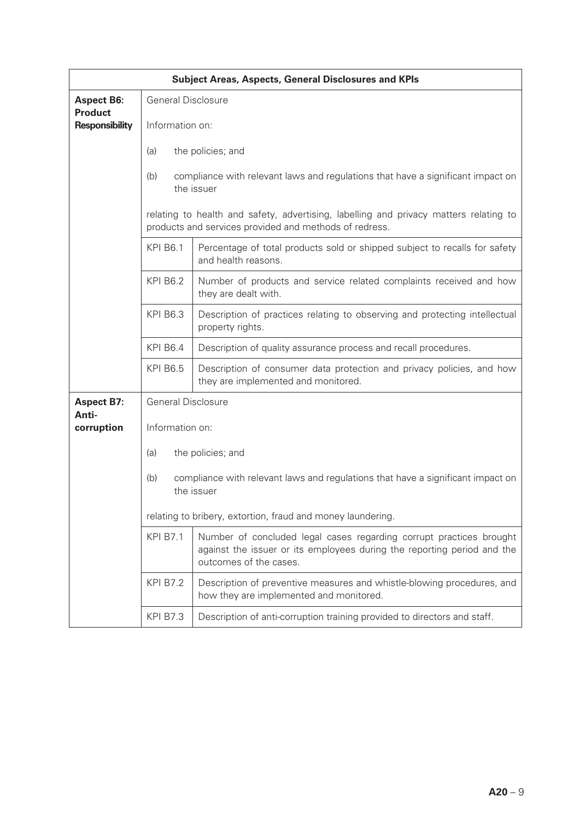| <b>Subject Areas, Aspects, General Disclosures and KPIs</b> |                                                                                                                                                 |                                                                                                                                                                          |  |  |
|-------------------------------------------------------------|-------------------------------------------------------------------------------------------------------------------------------------------------|--------------------------------------------------------------------------------------------------------------------------------------------------------------------------|--|--|
| <b>Aspect B6:</b>                                           | <b>General Disclosure</b>                                                                                                                       |                                                                                                                                                                          |  |  |
| <b>Product</b><br><b>Responsibility</b>                     | Information on:                                                                                                                                 |                                                                                                                                                                          |  |  |
|                                                             | (a)                                                                                                                                             | the policies; and                                                                                                                                                        |  |  |
|                                                             | (b)                                                                                                                                             | compliance with relevant laws and regulations that have a significant impact on                                                                                          |  |  |
|                                                             |                                                                                                                                                 | the issuer                                                                                                                                                               |  |  |
|                                                             | relating to health and safety, advertising, labelling and privacy matters relating to<br>products and services provided and methods of redress. |                                                                                                                                                                          |  |  |
|                                                             | <b>KPI B6.1</b>                                                                                                                                 | Percentage of total products sold or shipped subject to recalls for safety<br>and health reasons.                                                                        |  |  |
|                                                             | <b>KPI B6.2</b>                                                                                                                                 | Number of products and service related complaints received and how<br>they are dealt with.                                                                               |  |  |
|                                                             | <b>KPI B6.3</b>                                                                                                                                 | Description of practices relating to observing and protecting intellectual<br>property rights.                                                                           |  |  |
|                                                             | <b>KPI B6.4</b>                                                                                                                                 | Description of quality assurance process and recall procedures.                                                                                                          |  |  |
|                                                             | <b>KPI B6.5</b>                                                                                                                                 | Description of consumer data protection and privacy policies, and how<br>they are implemented and monitored.                                                             |  |  |
| <b>Aspect B7:</b>                                           | <b>General Disclosure</b>                                                                                                                       |                                                                                                                                                                          |  |  |
| Anti-<br>corruption                                         | Information on:                                                                                                                                 |                                                                                                                                                                          |  |  |
|                                                             | (a)<br>the policies; and                                                                                                                        |                                                                                                                                                                          |  |  |
|                                                             | (b)<br>compliance with relevant laws and regulations that have a significant impact on<br>the issuer                                            |                                                                                                                                                                          |  |  |
|                                                             | relating to bribery, extortion, fraud and money laundering.                                                                                     |                                                                                                                                                                          |  |  |
|                                                             | <b>KPI B7.1</b>                                                                                                                                 | Number of concluded legal cases regarding corrupt practices brought<br>against the issuer or its employees during the reporting period and the<br>outcomes of the cases. |  |  |
|                                                             | <b>KPI B7.2</b>                                                                                                                                 | Description of preventive measures and whistle-blowing procedures, and<br>how they are implemented and monitored.                                                        |  |  |
|                                                             | <b>KPI B7.3</b>                                                                                                                                 | Description of anti-corruption training provided to directors and staff.                                                                                                 |  |  |